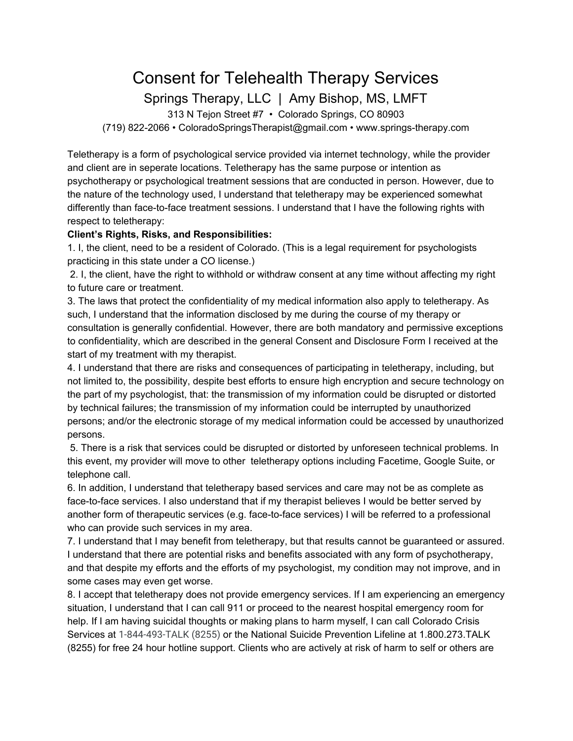## Consent for Telehealth Therapy Services

Springs Therapy, LLC | Amy Bishop, MS, LMFT

313 N Tejon Street #7 • Colorado Springs, CO 80903 (719) 822-2066 • ColoradoSpringsTherapist@gmail.com • www.springs-therapy.com

Teletherapy is a form of psychological service provided via internet technology, while the provider and client are in seperate locations. Teletherapy has the same purpose or intention as psychotherapy or psychological treatment sessions that are conducted in person. However, due to the nature of the technology used, I understand that teletherapy may be experienced somewhat differently than face-to-face treatment sessions. I understand that I have the following rights with respect to teletherapy:

## **Client's Rights, Risks, and Responsibilities:**

1. I, the client, need to be a resident of Colorado. (This is a legal requirement for psychologists practicing in this state under a CO license.)

 2. I, the client, have the right to withhold or withdraw consent at any time without affecting my right to future care or treatment.

3. The laws that protect the confidentiality of my medical information also apply to teletherapy. As such, I understand that the information disclosed by me during the course of my therapy or consultation is generally confidential. However, there are both mandatory and permissive exceptions to confidentiality, which are described in the general Consent and Disclosure Form I received at the start of my treatment with my therapist.

4. I understand that there are risks and consequences of participating in teletherapy, including, but not limited to, the possibility, despite best efforts to ensure high encryption and secure technology on the part of my psychologist, that: the transmission of my information could be disrupted or distorted by technical failures; the transmission of my information could be interrupted by unauthorized persons; and/or the electronic storage of my medical information could be accessed by unauthorized persons.

 5. There is a risk that services could be disrupted or distorted by unforeseen technical problems. In this event, my provider will move to other teletherapy options including Facetime, Google Suite, or telephone call.

6. In addition, I understand that teletherapy based services and care may not be as complete as face-to-face services. I also understand that if my therapist believes I would be better served by another form of therapeutic services (e.g. face-to-face services) I will be referred to a professional who can provide such services in my area.

7. I understand that I may benefit from teletherapy, but that results cannot be guaranteed or assured. I understand that there are potential risks and benefits associated with any form of psychotherapy, and that despite my efforts and the efforts of my psychologist, my condition may not improve, and in some cases may even get worse.

8. I accept that teletherapy does not provide emergency services. If I am experiencing an emergency situation, I understand that I can call 911 or proceed to the nearest hospital emergency room for help. If I am having suicidal thoughts or making plans to harm myself, I can call Colorado Crisis Services at 1-844-493-TALK (8255) or the National Suicide Prevention Lifeline at 1.800.273.TALK (8255) for free 24 hour hotline support. Clients who are actively at risk of harm to self or others are